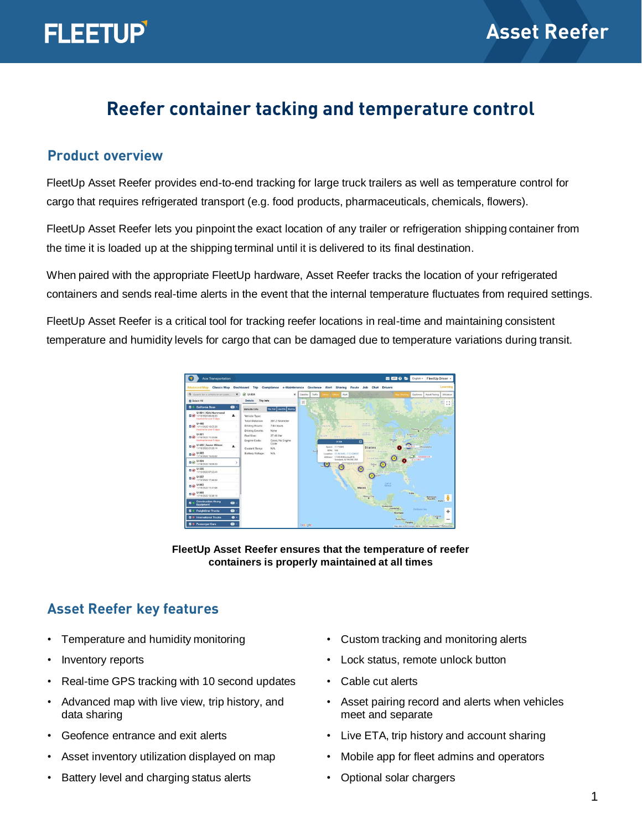## **Reefer container tacking and temperature control**

#### **Product overview**

FleetUp Asset Reefer provides end-to-end tracking for large truck trailers as well as temperature control for cargo that requires refrigerated transport (e.g. food products, pharmaceuticals, chemicals, flowers).

FleetUp Asset Reefer lets you pinpoint the exact location of any trailer or refrigeration shipping container from the time it is loaded up at the shipping terminal until it is delivered to its final destination.

When paired with the appropriate FleetUp hardware, Asset Reefer tracks the location of your refrigerated containers and sends real-time alerts in the event that the internal temperature fluctuates from required settings.

FleetUp Asset Reefer is a critical tool for tracking reefer locations in real-time and maintaining consistent temperature and humidity levels for cargo that can be damaged due to temperature variations during transit.



**FleetUp Asset Reefer ensures that the temperature of reefer containers is properly maintained at all times**

#### **Asset Reefer key features**

- Temperature and humidity monitoring
- Inventory reports
- Real-time GPS tracking with 10 second updates
- Advanced map with live view, trip history, and data sharing
- Geofence entrance and exit alerts
- Asset inventory utilization displayed on map
- Battery level and charging status alerts
- Custom tracking and monitoring alerts
- Lock status, remote unlock button
- Cable cut alerts
- Asset pairing record and alerts when vehicles meet and separate
- Live ETA, trip history and account sharing
- Mobile app for fleet admins and operators
- Optional solar chargers